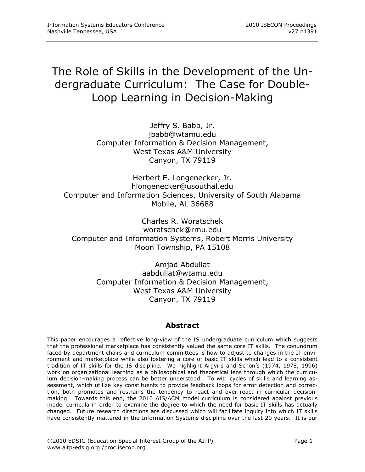# The Role of Skills in the Development of the Undergraduate Curriculum: The Case for Double-Loop Learning in Decision-Making

Jeffry S. Babb, Jr. jbabb@wtamu.edu Computer Information & Decision Management, West Texas A&M University Canyon, TX 79119

Herbert E. Longenecker, Jr. hlongenecker@usouthal.edu Computer and Information Sciences, University of South Alabama Mobile, AL 36688

Charles R. Woratschek woratschek@rmu.edu Computer and Information Systems, Robert Morris University Moon Township, PA 15108

> Amjad Abdullat aabdullat@wtamu.edu Computer Information & Decision Management, West Texas A&M University Canyon, TX 79119

# **Abstract**

This paper encourages a reflective long-view of the IS undergraduate curriculum which suggests that the professional marketplace has consistently valued the same core IT skills. The conundrum faced by department chairs and curriculum committees is how to adjust to changes in the IT environment and marketplace while also fostering a core of basic IT skills which lead to a consistent tradition of IT skills for the IS discipline. We highlight Argyris and Schön's (1974, 1978, 1996) work on organizational learning as a philosophical and theoretical lens through which the curriculum decision-making process can be better understood. To wit: cycles of skills and learning assessment, which utilize key constituents to provide feedback loops for error detection and correction, both promotes and restrains the tendency to react and over-react in curricular decisionmaking. Towards this end, the 2010 AIS/ACM model curriculum is considered against previous model curricula in order to examine the degree to which the need for basic IT skills has actually changed. Future research directions are discussed which will facilitate inquiry into which IT skills have consistently mattered in the Information Systems discipline over the last 20 years. It is our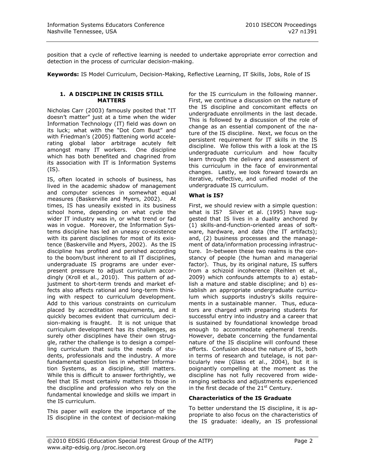position that a cycle of reflective learning is needed to undertake appropriate error correction and detection in the process of curricular decision-making.

**Keywords:** IS Model Curriculum, Decision-Making, Reflective Learning, IT Skills, Jobs, Role of IS

#### **1. A DISCIPLINE IN CRISIS STILL MATTERS**

Nicholas Carr (2003) famously posited that "IT doesn't matter" just at a time when the wider Information Technology (IT) field was down on its luck; what with the "Dot Com Bust" and with Friedman's (2005) flattening world accelerating global labor arbitrage acutely felt amongst many IT workers. One discipline which has both benefited and chagrined from its association with IT is Information Systems (IS).

IS, often located in schools of business, has lived in the academic shadow of management and computer sciences in somewhat equal measures (Baskerville and Myers, 2002). At times, IS has uneasily existed in its business school home, depending on what cycle the wider IT industry was in, or what trend or fad was in vogue. Moreover, the Information Systems discipline has led an uneasy co-existence with its parent disciplines for most of its existence (Baskerville and Myers, 2002). As the IS discipline has profited and perished according to the boom/bust inherent to all IT disciplines, undergraduate IS programs are under everpresent pressure to adjust curriculum accordingly (Kroll et al., 2010). This pattern of adjustment to short-term trends and market effects also affects rational and long-term thinking with respect to curriculum development. Add to this various constraints on curriculum placed by accreditation requirements, and it quickly becomes evident that curriculum decision-making is fraught. It is not unique that curriculum development has its challenges, as surely other disciplines have their own struggle, rather the challenge is to design a compelling curriculum that suits the needs of students, professionals and the industry. A more fundamental question lies in whether Information Systems, as a discipline, still matters. While this is difficult to answer forthrightly, we feel that IS most certainly matters to those in the discipline and profession who rely on the fundamental knowledge and skills we impart in the IS curriculum.

This paper will explore the importance of the IS discipline in the context of decision-making for the IS curriculum in the following manner. First, we continue a discussion on the nature of the IS discipline and concomitant effects on undergraduate enrollments in the last decade. This is followed by a discussion of the role of change as an essential component of the nature of the IS discipline. Next, we focus on the persistent requirement for IT skills in the IS discipline. We follow this with a look at the IS undergraduate curriculum and how faculty learn through the delivery and assessment of this curriculum in the face of environmental changes. Lastly, we look forward towards an iterative, reflective, and unified model of the undergraduate IS curriculum.

# **What is IS?**

First, we should review with a simple question: what is IS? Silver et al. (1995) have suggested that IS lives in a duality anchored by (1) skills-and-function-oriented areas of software, hardware, and data (the IT artifacts); and, (2) business processes and the management of data/information processing infrastructure. In-between these two realms is the constancy of people (the human and managerial factor). Thus, by its original nature, IS suffers from a schizoid incoherence (Reihlen et al., 2009) which confounds attempts to a) establish a mature and stable discipline; and b) establish an appropriate undergraduate curriculum which supports industry's skills requirements in a sustainable manner. Thus, educators are charged with preparing students for successful entry into industry and a career that is sustained by foundational knowledge broad enough to accommodate ephemeral trends. However, debate concerning the fundamental nature of the IS discipline will confound these efforts. Confusion about the nature of IS, both in terms of research and tutelage, is not particularly new (Glass et al., 2004), but it is poignantly compelling at the moment as the discipline has not fully recovered from wideranging setbacks and adjustments experienced in the first decade of the  $21<sup>st</sup>$  Century.

#### **Characteristics of the IS Graduate**

To better understand the IS discipline, it is appropriate to also focus on the characteristics of the IS graduate: ideally, an IS professional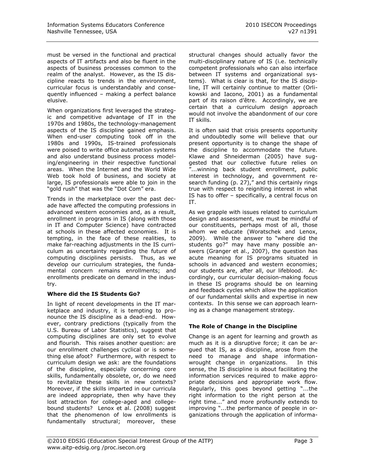must be versed in the functional and practical aspects of IT artifacts and also be fluent in the aspects of business processes common to the realm of the analyst. However, as the IS discipline reacts to trends in the environment, curricular focus is understandably and consequently influenced – making a perfect balance elusive.

When organizations first leveraged the strategic and competitive advantage of IT in the 1970s and 1980s, the technology-management aspects of the IS discipline gained emphasis. When end-user computing took off in the 1980s and 1990s, IS-trained professionals were poised to write office automation systems and also understand business process modeling/engineering in their respective functional areas. When the Internet and the World Wide Web took hold of business, and society at large, IS professionals were able to join in the "gold rush" that was the "Dot Com" era.

Trends in the marketplace over the past decade have affected the computing professions in advanced western economies and, as a result, enrollment in programs in IS (along with those in IT and Computer Science) have contracted at schools in these affected economies. It is tempting, in the face of these realities, to make far-reaching adjustments in the IS curriculum as uncertainty regarding the future of computing disciplines persists. Thus, as we develop our curriculum strategies, the fundamental concern remains enrollments; and enrollments predicate on demand in the industry.

# **Where did the IS Students Go?**

In light of recent developments in the IT marketplace and industry, it is tempting to pronounce the IS discipline as a dead-end. However, contrary predictions (typically from the U.S. Bureau of Labor Statistics), suggest that computing disciplines are only set to evolve and flourish. This raises another question: are our enrollment challenges cyclical or is something else afoot? Furthermore, with respect to curriculum design we ask: are the foundations of the discipline, especially concerning core skills, fundamentally obsolete, or, do we need to revitalize these skills in new contexts? Moreover, if the skills imparted in our curricula are indeed appropriate, then why have they lost attraction for college-aged and collegebound students? Lenox et al. (2008) suggest that the phenomenon of low enrollments is fundamentally structural; moreover, these structural changes should actually favor the multi-disciplinary nature of IS (i.e. technically competent professionals who can also interface between IT systems and organizational systems). What is clear is that, for the IS discipline, IT will certainly continue to matter (Orlikowski and Iacono, 2001) as a fundamental part of its raison d'être. Accordingly, we are certain that a curriculum design approach would not involve the abandonment of our core IT skills.

It is often said that crisis presents opportunity and undoubtedly some will believe that our present opportunity is to change the shape of the discipline to accommodate the future. Klawe and Shneiderman (2005) have suggested that our collective future relies on ...winning back student enrollment, public interest in technology, and government research funding (p. 27)," and this certainly rings true with respect to reigniting interest in what IS has to offer – specifically, a central focus on IT.

As we grapple with issues related to curriculum design and assessment, we must be mindful of our constituents, perhaps most of all, those whom we educate (Woratschek and Lenox, 2009). While the answer to "where did the students go?" may have many possible answers (Granger et al., 2007), the question has acute meaning for IS programs situated in schools in advanced and western economies; our students are, after all, our lifeblood. Accordingly, our curricular decision-making focus in these IS programs should be on learning and feedback cycles which allow the application of our fundamental skills and expertise in new contexts. In this sense we can approach learning as a change management strategy.

# **The Role of Change in the Discipline**

Change is an agent for learning and growth as much as it is a disruptive force; it can be argued that IS, as a discipline, arose from the need to manage and shape informationwrought change in organizations. In this sense, the IS discipline is about facilitating the information services required to make appropriate decisions and appropriate work flow. Regularly, this goes beyond getting "...the right information to the right person at the right time..." and more profoundly extends to improving "...the performance of people in organizations through the application of informa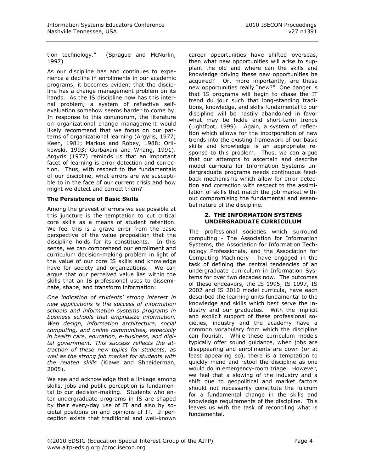tion technology.‖ (Sprague and McNurlin, 1997)

As our discipline has and continues to experience a decline in enrollments in our academic programs, it becomes evident that the discipline has a change management problem on its hands. As the IS discipline now has this internal problem, a system of reflective selfevaluation somehow seems harder to come by. In response to this conundrum, the literature on organizational change management would likely recommend that we focus on our patterns of organizational learning (Argyris, 1977; Keen, 1981; Markus and Robey, 1988; Orlikowski, 1993; Gurbaxani and Whang, 1991). Argyris (1977) reminds us that an important facet of learning is error detection and correction. Thus, with respect to the fundamentals of our discipline, what errors are we susceptible to in the face of our current crisis and how might we detect and correct them?

# **The Persistence of Basic Skills**

Among the gravest of errors we see possible at this juncture is the temptation to cut critical core skills as a means of student retention. We feel this is a grave error from the basic perspective of the value proposition that the discipline holds for its constituents. In this sense, we can comprehend our enrollment and curriculum decision-making problem in light of the value of our core IS skills and knowledge have for society and organizations. We can argue that our perceived value lies within the skills that an IS professional uses to disseminate, shape, and transform information:

*One indication of students' strong interest in new applications is the success of information schools and information systems programs in business schools that emphasize information, Web design, information architecture, social computing, and online communities, especially in health care, education, e-business, and digital government. This success reflects the attraction of these new topics for students, as well as the strong job market for students with the related skills* (Klawe and Shneiderman, 2005).

We see and acknowledge that a linkage among skills, jobs and public perception is fundamental to our decision-making. Students who enter undergraduate programs in IS are shaped by their every-day use of IT and also by societal positions on and opinions of IT. If perception exists that traditional and well-known career opportunities have shifted overseas, then what new opportunities will arise to supplant the old and where can the skills and knowledge driving these new opportunities be acquired? Or, more importantly, are these new opportunities really "new?" One danger is that IS programs will begin to chase the IT trend du jour such that long-standing traditions, knowledge, and skills fundamental to our discipline will be hastily abandoned in favor what may be fickle and short-term trends (Lightfoot, 1999). Again, a system of reflection which allows for the incorporation of new trends into the existing framework of our basic skills and knowledge is an appropriate response to this problem. Thus, we can argue that our attempts to ascertain and describe model curricula for Information Systems undergraduate programs needs continuous feedback mechanisms which allow for error detection and correction with respect to the assimilation of skills that match the job market without compromising the fundamental and essential nature of the discipline.

#### **2. THE INFORMATION SYSTEMS UNDERGRADUATE CURRICULUM**

The professional societies which surround computing - The Association for Information Systems, the Association for Information Technology Professionals, and the Association for Computing Machinery - have engaged in the task of defining the central tendencies of an undergraduate curriculum in Information Systems for over two decades now. The outcomes of these endeavors, the IS 1995, IS 1997, IS 2002 and IS 2010 model curricula, have each described the learning units fundamental to the knowledge and skills which best serve the industry and our graduates. With the implicit and explicit support of these professional societies, industry and the academy have a common vocabulary from which the discipline can flourish. While these curriculum models typically offer sound guidance, when jobs are disappearing and enrollments are down (or at least appearing so), there is a temptation to quickly mend and retool the discipline as one would do in emergency-room triage. However, we feel that a slowing of the industry and a shift due to geopolitical and market factors should not necessarily constitute the fulcrum for a fundamental change in the skills and knowledge requirements of the discipline. This leaves us with the task of reconciling what is fundamental.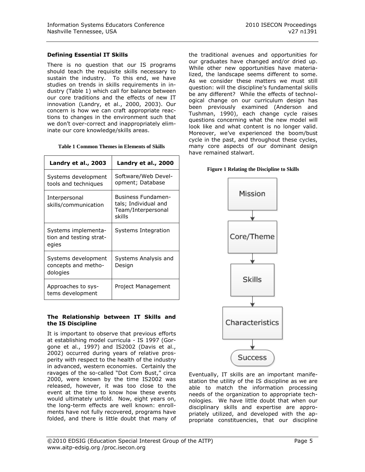# **Defining Essential IT Skills**

There is no question that our IS programs should teach the requisite skills necessary to sustain the industry. To this end, we have studies on trends in skills requirements in industry (Table 1) which call for balance between our core traditions and the effects of new IT innovation (Landry, et al., 2000, 2003). Our concern is how we can craft appropriate reactions to changes in the environment such that we don't over-correct and inappropriately eliminate our core knowledge/skills areas.

|  |  |  |  | <b>Table 1 Common Themes in Elements of Skills</b> |  |  |
|--|--|--|--|----------------------------------------------------|--|--|
|--|--|--|--|----------------------------------------------------|--|--|

| Landry et al., 2003                                     | Landry et al., 2000                                                               |  |  |
|---------------------------------------------------------|-----------------------------------------------------------------------------------|--|--|
| Systems development<br>tools and techniques             | Software/Web Devel-<br>opment; Database                                           |  |  |
| Interpersonal<br>skills/communication                   | <b>Business Fundamen-</b><br>tals; Individual and<br>Team/Interpersonal<br>skills |  |  |
| Systems implementa-<br>tion and testing strat-<br>egies | Systems Integration                                                               |  |  |
| Systems development<br>concepts and metho-<br>dologies  | Systems Analysis and<br>Design                                                    |  |  |
| Approaches to sys-<br>tems development                  | Project Management                                                                |  |  |

#### **The Relationship between IT Skills and the IS Discipline**

It is important to observe that previous efforts at establishing model curricula - IS 1997 (Gorgone et al., 1997) and IS2002 (Davis et al., 2002) occurred during years of relative prosperity with respect to the health of the industry in advanced, western economies. Certainly the ravages of the so-called "Dot Com Bust," circa 2000, were known by the time IS2002 was released, however, it was too close to the event at the time to know how these events would ultimately unfold. Now, eight years on, the long-term effects are well known: enrollments have not fully recovered, programs have folded, and there is little doubt that many of the traditional avenues and opportunities for our graduates have changed and/or dried up. While other new opportunities have materialized, the landscape seems different to some. As we consider these matters we must still question: will the discipline's fundamental skills be any different? While the effects of technological change on our curriculum design has been previously examined (Anderson and Tushman, 1990), each change cycle raises questions concerning what the new model will look like and what content is no longer valid. Moreover, we've experienced the boom/bust cycle in the past, and throughout these cycles, many core aspects of our dominant design have remained stalwart.

#### <span id="page-4-0"></span>**Figure 1 Relating the Discipline to Skills**



Eventually, IT skills are an important manifestation the utility of the IS discipline as we are able to match the information processing needs of the organization to appropriate technologies. We have little doubt that when our disciplinary skills and expertise are appropriately utilized, and developed with the appropriate constituencies, that our discipline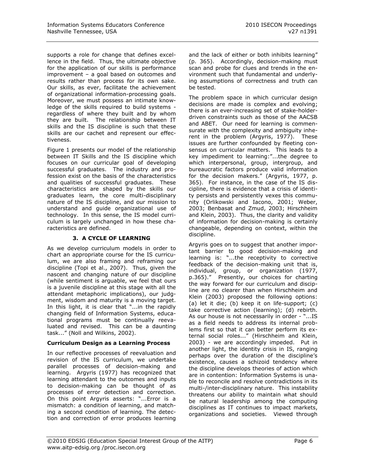supports a role for change that defines excellence in the field. Thus, the ultimate objective for the application of our skills is performance improvement – a goal based on outcomes and results rather than process for its own sake. Our skills, as ever, facilitate the achievement of organizational information-processing goals. Moreover, we must possess an intimate knowledge of the skills required to build systems regardless of where they built and by whom they are built. The relationship between IT skills and the IS discipline is such that these skills are our cachet and represent our effectiveness.

[Figure 1](#page-4-0) presents our model of the relationship between IT Skills and the IS discipline which focuses on our curricular goal of developing successful graduates. The industry and profession exist on the basis of the characteristics and qualities of successful graduates. These characteristics are shaped by the skills our graduates learn, the core multi-disciplinary nature of the IS discipline, and our mission to understand and guide organizational use of technology. In this sense, the IS model curriculum is largely unchanged in how these characteristics are defined.

# **3. A CYCLE OF LEARNING**

As we develop curriculum models in order to chart an appropriate course for the IS curriculum, we are also framing and reframing our discipline (Topi et al., 2007). Thus, given the nascent and changing nature of our discipline (while sentiment is arguable, we feel that ours is a juvenile discipline at this stage with all the attendant metaphoric implications), our judgment, wisdom and maturity is a moving target. In this light, it is clear that "...in the rapidly changing field of Information Systems, educational programs must be continually reevaluated and revised. This can be a daunting task..." (Noll and Wilkins, 2002).

# **Curriculum Design as a Learning Process**

In our reflective processes of reevaluation and revision of the IS curriculum, we undertake parallel processes of decision-making and learning. Argyris (1977) has recognized that learning attendant to the outcomes and inputs to decision-making can be thought of as processes of error detection and correction. On this point Argyris asserts: "...Error is a mismatch: a condition of learning, and matching a second condition of learning. The detection and correction of error produces learning

and the lack of either or both inhibits learning" (p. 365). Accordingly, decision-making must scan and probe for clues and trends in the environment such that fundamental and underlying assumptions of correctness and truth can be tested.

The problem space in which curricular design decisions are made is complex and evolving; there is an ever-increasing set of stake-holderdriven constraints such as those of the AACSB and ABET. Our need for learning is commensurate with the complexity and ambiguity inherent in the problem (Argyris, 1977). These issues are further confounded by fleeting consensus on curricular matters. This leads to a key impediment to learning:"...the degree to which interpersonal, group, intergroup, and bureaucratic factors produce valid information for the decision makers." (Argyris, 1977, p. 365). For instance, in the case of the IS discipline, there is evidence that a crisis of identity persists and persistently vexes this community (Orlikowski and Iacono, 2001; Weber, 2003; Benbasat and Zmud, 2003; Hirschheim and Klein, 2003). Thus, the clarity and validity of information for decision-making is certainly changeable, depending on context, within the discipline.

Argyris goes on to suggest that another important barrier to good decision-making and learning is: "...the receptivity to corrective feedback of the decision-making unit that is, individual, group, or organization (1977, p.365)." Presently, our choices for charting the way forward for our curriculum and discipline are no clearer than when Hirschheim and Klein (2003) proposed the following options: (a) let it die; (b) keep it on life-support; (c) take corrective action (learning); (d) rebirth. As our house is not necessarily in order - "...IS as a field needs to address its internal problems first so that it can better perform its external social roles..." (Hirschheim and Klein, 2003) - we are accordingly impeded. Put in another light, the identity crisis in IS, ranging perhaps over the duration of the discipline's existence, causes a schizoid tendency where the discipline develops theories of action which are in contention: Information Systems is unable to reconcile and resolve contradictions in its multi-/inter-disciplinary nature. This instability threatens our ability to maintain what should be natural leadership among the computing disciplines as IT continues to impact markets, organizations and societies. Viewed through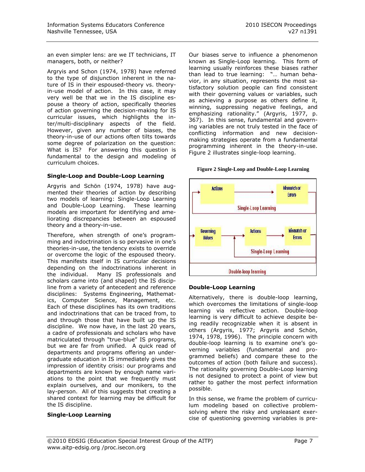an even simpler lens: are we IT technicians, IT managers, both, or neither?

Argryis and Schon (1974, 1978) have referred to the type of disjunction inherent in the nature of IS in their espoused-theory vs. theoryin-use model of action. In this case, it may very well be that we in the IS discipline espouse a theory of action, specifically theories of action governing the decision-making for IS curricular issues, which highlights the inter/multi-disciplinary aspects of the field. However, given any number of biases, the theory-in-use of our actions often tilts towards some degree of polarization on the question: What is IS? For answering this question is fundamental to the design and modeling of curriculum choices.

#### **Single-Loop and Double-Loop Learning**

Argyris and Schön (1974, 1978) have augmented their theories of action by describing two models of learning: Single-Loop Learning and Double-Loop Learning. These learning models are important for identifying and ameliorating discrepancies between an espoused theory and a theory-in-use.

Therefore, when strength of one's programming and indoctrination is so pervasive in one's theories-in-use, the tendency exists to override or overcome the logic of the espoused theory. This manifests itself in IS curricular decisions depending on the indoctrinations inherent in the individual. Many IS professionals and scholars came into (and shaped) the IS discipline from a variety of antecedent and reference disciplines: Systems Engineering, Mathematics, Computer Science, Management, etc. Each of these disciplines has its own traditions and indoctrinations that can be traced from, to and through those that have built up the IS discipline. We now have, in the last 20 years, a cadre of professionals and scholars who have matriculated through "true-blue" IS programs, but we are far from unified. A quick read of departments and programs offering an undergraduate education in IS immediately gives the impression of identity crisis: our programs and departments are known by enough name variations to the point that we frequently must explain ourselves, and our monikers, to the lay-person. All of this suggests that creating a shared context for learning may be difficult for the IS discipline.

# **Single-Loop Learning**

Our biases serve to influence a phenomenon known as Single-Loop learning. This form of learning usually reinforces these biases rather than lead to true learning: "... human behavior, in any situation, represents the most satisfactory solution people can find consistent with their governing values or variables, such as achieving a purpose as others define it, winning, suppressing negative feelings, and emphasizing rationality." (Argyris, 1977, p. 367). In this sense, fundamental and governing variables are not truly tested in the face of conflicting information and new decisionmaking strategies operate from a fundamental programming inherent in the theory-in-use. [Figure](#page-6-0) 2 illustrates single-loop learning.

#### **Figure 2 Single-Loop and Double-Loop Learning**

<span id="page-6-0"></span>

#### **Double-Loop Learning**

Alternatively, there is double-loop learning, which overcomes the limitations of single-loop learning via reflective action. Double-loop learning is very difficult to achieve despite being readily recognizable when it is absent in others (Argyris, 1977; Argyris and Schön, 1974, 1978, 1996). The principle concern with double-loop learning is to examine one's governing variables (fundamental and programmed beliefs) and compare these to the outcomes of action (both failure and success). The rationality governing Double-Loop learning is not designed to protect a point of view but rather to gather the most perfect information possible.

In this sense, we frame the problem of curriculum modeling based on collective problemsolving where the risky and unpleasant exercise of questioning governing variables is pre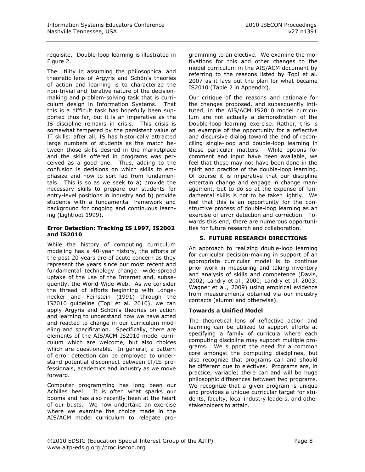requisite. Double-loop learning is illustrated in Figure 2.

The utility in assuming the philosophical and theoretic lens of Argyris and Schön's theories of action and learning is to characterize the non-trivial and iterative nature of the decisionmaking and problem-solving task that is curriculum design in Information Systems. That this is a difficult task has hopefully been supported thus far, but it is an imperative as the IS discipline remains in crisis. This crisis is somewhat tempered by the persistent value of IT skills: after all, IS has historically attracted large numbers of students as the match between those skills desired in the marketplace and the skills offered in programs was perceived as a good one. Thus, adding to the confusion is decisions on which skills to emphasize and how to sort fad from fundamentals. This is so as we seek to a) provide the necessary skills to prepare our students for entry-level positions in industry and b) provide students with a fundamental framework and background for ongoing and continuous learning (Lightfoot 1999).

#### **Error Detection: Tracking IS 1997, IS2002 and IS2010**

While the history of computing curriculum modeling has a 40-year history, the efforts of the past 20 years are of acute concern as they represent the years since our most recent and fundamental technology change: wide-spread uptake of the use of the Internet and, subsequently, the World-Wide-Web. As we consider the thread of efforts beginning with Longenecker and Feinstein (1991) through the IS2010 guideline (Topi et al. 2010), we can apply Argyris and Schön's theories on action and learning to understand how we have acted and reacted to change in our curriculum modeling and specification. Specifically, there are elements of the AIS/ACM IS2010 model curriculum which are welcome, but also choices which are questionable. In general, a pattern of error detection can be employed to understand potential disconnect between IT/IS professionals, academics and industry as we move forward.

Computer programming has long been our Achilles heel. It is often what sparks our booms and has also recently been at the heart of our busts. We now undertake an exercise where we examine the choice made in the AIS/ACM model curriculum to relegate programming to an elective. We examine the motivations for this and other changes to the model curriculum in the AIS/ACM document by referring to the reasons listed by Topi et al. 2007 as it lays out the plan for what became IS2010 (Table 2 in Appendix).

Our critique of the reasons and rationale for the changes proposed, and subsequently intituted, in the AIS/ACM IS2010 model curriculum are not actually a demonstration of the Double-loop learning exercise. Rather, this is an example of the opportunity for a reflective and discursive dialog toward the end of reconciling single-loop and double-loop learning in these particular matters. While options for comment and input have been available, we feel that these may not have been done in the spirit and practice of the double-loop learning. Of course it is imperative that our discipline entertain change and engage in change management, but to do so at the expense of fundamental skills is not to be taken lightly. We feel that this is an opportunity for the constructive process of double-loop learning as an exercise of error detection and correction. Towards this end, there are numerous opportunities for future research and collaboration.

# **5. FUTURE RESEARCH DIRECTIONS**

An approach to realizing double-loop learning for curricular decision-making in support of an appropriate curricular model is to continue prior work in measuring and taking inventory and analysis of skills and competence (Davis, 2002; Landry et al., 2000; Landry et al. 2003; Wagner et al., 2009) using empirical evidence from measurements obtained via our industry contacts (alumni and otherwise).

# **Towards a Unified Model**

The theoretical lens of reflective action and learning can be utilized to support efforts at specifying a family of curricula where each computing discipline may support multiple programs. We support the need for a common core amongst the computing disciplines, but also recognize that programs can and should be different due to electives. Programs are, in practice, variable; there can and will be huge philosophic differences between two programs. We recognize that a given program is unique and provides a unique curricular target for students, faculty, local industry leaders, and other stakeholders to attain.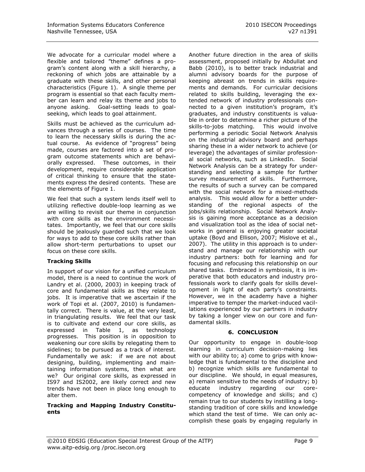We advocate for a curricular model where a flexible and tailored "theme" defines a program's content along with a skill hierarchy, a reckoning of which jobs are attainable by a graduate with these skills, and other personal characteristics (Figure 1). A single theme per program is essential so that each faculty member can learn and relay its theme and jobs to anyone asking. Goal-setting leads to goalseeking, which leads to goal attainment.

Skills must be achieved as the curriculum advances through a series of courses. The time to learn the necessary skills is during the actual course. As evidence of "progress" being made, courses are factored into a set of program outcome statements which are behaviorally expressed. These outcomes, in their development, require considerable application of critical thinking to ensure that the statements express the desired contents. These are the elements of Figure 1.

We feel that such a system lends itself well to utilizing reflective double-loop learning as we are willing to revisit our theme in conjunction with core skills as the environment necessitates. Importantly, we feel that our core skills should be jealously guarded such that we look for ways to add to these core skills rather than allow short-term perturbations to upset our focus on these core skills.

# **Tracking Skills**

In support of our vision for a unified curriculum model, there is a need to continue the work of Landry et al. (2000, 2003) in keeping track of core and fundamental skills as they relate to jobs. It is imperative that we ascertain if the work of Topi et al. (2007, 2010) is fundamentally correct. There is value, at the very least, in triangulating results. We feel that our task is to cultivate and extend our core skills, as expressed in Table 1, as technology progresses. This position is in opposition to weakening our core skills by relegating them to sidelines; to be pursued as a track of interest. Fundamentally we ask: if we are not about designing, building, implementing and maintaining information systems, then what are we? Our original core skills, as expressed in IS97 and IS2002, are likely correct and new trends have not been in place long enough to alter them.

# **Tracking and Mapping Industry Constituents**

Another future direction in the area of skills assessment, proposed initially by Abdullat and Babb (2010), is to better track industrial and alumni advisory boards for the purpose of keeping abreast on trends in skills requirements and demands. For curricular decisions related to skills building, leveraging the extended network of industry professionals connected to a given institution's program, it's graduates, and industry constituents is valuable in order to determine a richer picture of the skills-to-jobs matching. This would involve performing a periodic Social Network Analysis on the industrial advisory board and perhaps sharing these in a wider network to achieve (or leverage) the advantages of similar professional social networks, such as LinkedIn. Social Network Analysis can be a strategy for understanding and selecting a sample for further survey measurement of skills. Furthermore, the results of such a survey can be compared with the social network for a mixed-methods analysis. This would allow for a better understanding of the regional aspects of the jobs/skills relationship. Social Network Analysis is gaining more acceptance as a decision and visualization tool as the idea of social networks in general is enjoying greater societal uptake (Boyd and Ellison, 2007; Mislove et al., 2007). The utility in this approach is to understand and manage our relationship with our industry partners: both for learning and for focusing and refocusing this relationship on our shared tasks. Embraced in symbiosis, it is imperative that both educators and industry professionals work to clarify goals for skills development in light of each party's constraints. However, we in the academy have a higher imperative to temper the market-induced vacillations experienced by our partners in industry by taking a longer view on our core and fundamental skills.

# **6. CONCLUSION**

Our opportunity to engage in double-loop learning in curriculum decision-making lies with our ability to; a) come to grips with knowledge that is fundamental to the discipline and b) recognize which skills are fundamental to our discipline. We should, in equal measures, a) remain sensitive to the needs of industry; b) educate industry regarding our corecompetency of knowledge and skills; and c) remain true to our students by instilling a longstanding tradition of core skills and knowledge which stand the test of time. We can only accomplish these goals by engaging regularly in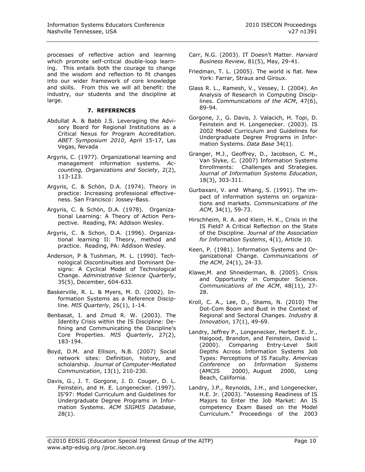processes of reflective action and learning which promote self-critical double-loop learning. This entails both the courage to change and the wisdom and reflection to fit changes into our wider framework of core knowledge and skills. From this we will all benefit: the industry, our students and the discipline at large.

# **7. REFERENCES**

- Abdullat A. & Babb J.S. Leveraging the Advisory Board for Regional Institutions as a Critical Nexus for Program Accreditation. *ABET Symposium 2010*, April 15-17, Las Vegas, Nevada
- Argyris, C. (1977). Organizational learning and management information systems. *Accounting, Organizations and Society*, 2(2), 113-123.
- Argyris, C. & Schön, D.A. (1974). Theory in practice: Increasing professional effectiveness. San Francisco: Jossey-Bass.
- Argyris, C. & Schön, D.A. (1978). Organizational Learning: A Theory of Action Perspective. Reading, PA: Addison Wesley.
- Argyris, C. & Schon, D.A. (1996). Organizational learning II: Theory, method and practice. Reading, PA: Addison Wesley.
- Anderson, P & Tushman, M. L. (1990). Technological Discontinuities and Dominant Designs: A Cyclical Model of Technological Change. *Administrative Science Quarterly*, 35(5), December, 604-633.
- Baskerville, R. L. & Myers, M. D. (2002). Information Systems as a Reference Discipline. *MIS Quarterly*, 26(1), 1-14.
- Benbasat, I. and Zmud R. W. (2003). The Identity Crisis within the IS Discipline: Defining and Communicating the Discipline's Core Properties. *MIS Quarterly*, 27(2), 183-194.
- Boyd, D.M. and Ellison, N.B. (2007) Social network sites: Definition, history, and scholarship. *Journal of Computer-Mediated Communication*, 13(1), 210-230.
- Davis, G., J. T. Gorgone, J. D. Couger, D. L. Feinstein, and H. E. Longenecker. (1997). IS'97: Model Curriculum and Guidelines for Undergraduate Degree Programs in Information Systems. *ACM SIGMIS Database*, 28(1).
- Carr, N.G. (2003). IT Doesn't Matter. *Harvard Business Review*, 81(5), May, 29-41.
- Friedman, T. L. (2005). The world is flat. New York: Farrar, Straus and Giroux.
- Glass R. L., Ramesh, V., Vessey, I. (2004). An Analysis of Research in Computing Disciplines. *Communications of the ACM*, 47(6), 89-94.
- Gorgone, J., G. Davis, J. Valacich, H. Topi, D. Feinstein and H. Longenecker. (2003). IS 2002 Model Curriculum and Guidelines for Undergraduate Degree Programs in Information Systems. *Data Base* 34(1).
- Granger, M.J., Geoffrey, D., Jacobson, C. M., Van Slyke, C. (2007) Information Systems Enrollments: Challenges and Strategies. *Journal of Information Systems Education*, 18(3), 303-311.
- Gurbaxani, V. and Whang, S. (1991). The impact of information systems on organizations and markets. *Communications of the ACM*, 34(1), 59-73.
- Hirschheim, R. A. and Klein, H. K., Crisis in the IS Field? A Critical Reflection on the State of the Discipline. *Journal of the Association for Information Systems*, 4(1), Article 10.
- Keen, P. (1981). Information Systems and Organizational Change. *Communications of the ACM*, 24(1), 24-33.
- Klawe,M. and Shneiderman, B. (2005). Crisis and Opportunity in Computer Science. *Communications of the ACM*, 48(11), 27- 28.
- Kroll, C. A., Lee, D., Shams, N. (2010) The Dot-Com Boom and Bust in the Context of Regional and Sectoral Changes. *Industry & Innovation*, 17(1), 49-69.
- Landry, Jeffrey P., Longenecker, Herbert E. Jr., Haigood, Brandon, and Feinstein, David L. (2000). Comparing Entry-Level Skill Depths Across Information Systems Job Types: Perceptions of IS Faculty. *Americas Conference on Information Systems* (AMCIS 2000), August 2000, Long Beach, California.
- Landry, J.P., Reynolds, J.H., and Longenecker, H.E. Jr. (2003). "Assessing Readiness of IS Majors to Enter the Job Market: An IS competency Exam Based on the Model Curriculum.‖ Proceedings of the 2003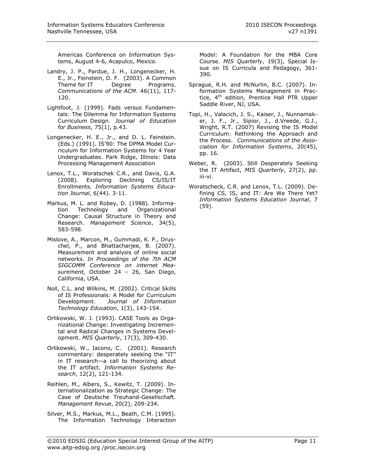Americas Conference on Information Systems, August 4-6, Acapulco, Mexico.

- Landry, J. P., Pardue, J. H., Longenecker, H. E., Jr., Feinstein, D. F. (2003). A Common Theme for IT Degree Programs. *Communications of the ACM*. 46(11), 117- 120.
- Lightfoot, J. (1999). Fads versus Fundamentals: The Dilemma for Information Systems Curriculum Design. *Journal of Education for Business*, 75(1), p.43.
- Longenecker, H. E., Jr., and D. L. Feinstein. (Eds.) (1991). IS'90: The DPMA Model Curriculum for Information Systems for 4 Year Undergraduates. Park Ridge, Illinois: Data Processing Management Association
- Lenox, T.L., Woratschek C.R., and Davis, G.A. (2008). Exploring Declining CS/IS/IT Enrollments. *Information Systems Education Journal*, 6(44). 3-11.
- Markus, M. L. and Robey, D. (1988). Information Technology and Organizational Change: Causal Structure in Theory and Research. *Management Science*, 34(5), 583-598.
- Mislove, A., Marcon, M., Gummadi, K. P., Druschel, P., and Bhattacharjee, B. (2007). Measurement and analysis of online social networks. *In Proceedings of the 7th ACM SIGCOMM Conference on internet Measurement,* October 24 – 26, San Diego, California, USA.
- Noll, C.L. and Wilkins, M. (2002). Critical Skills of IS Professionals: A Model for Curriculum Development. *Journal of Information Technology Education*, 1(3), 143-154.
- Orlikowski, W. J. (1993). CASE Tools as Organizational Change: Investigating Incremental and Radical Changes in Systems Development. *MIS Quarterly*, 17(3), 309-430.
- Orlikowski, W., Iacono, C. (2001). Research commentary: desperately seeking the "IT" in IT research—a call to theorizing about the IT artifact. *Information Systems Research*, 12(2), 121-134.
- Reihlen, M., Albers, S., Kewitz, T. (2009). Internationalization as Strategic Change: The Case of Deutsche Treuhand-Gesellschaft. *Management Revue*, 20(2), 209-234.
- Silver, M.S., Markus, M.L., Beath, C.M. (1995). The Information Technology Interaction

Model: A Foundation for the MBA Core Course. *MIS Quarterly*, 19(3), Special Issue on IS Curricula and Pedagogy, 361- 390.

- Sprague, R.H. and McNurlin, B.C. (2007). Information Systems Management in Practice,  $4<sup>th</sup>$  edition, Prentice Hall PTR Upper Saddle River, NJ, USA.
- Topi, H., Valacich, J. S., Kaiser, J., Nunnamaker, J. F., Jr., Sipior, J., d.Vreede, G.J., Wright, R.T. (2007) Revising the IS Model Curriculum: Rethinking the Approach and the Process. *Communications of the Association for Information Systems*, 20(45), pp. 16.
- Weber, R. (2003). Still Desperately Seeking the IT Artifact, *MIS Quarterly*, 27(2), pp. iii-xi.
- Woratscheck, C.R. and Lenox, T.L. (2009). Defining CS, IS, and IT: Are We There Yet? *Information Systems Education Journal*, 7 (59).

©2010 EDSIG (Education Special Interest Group of the AITP) Page 11 www.aitp-edsig.org /proc.isecon.org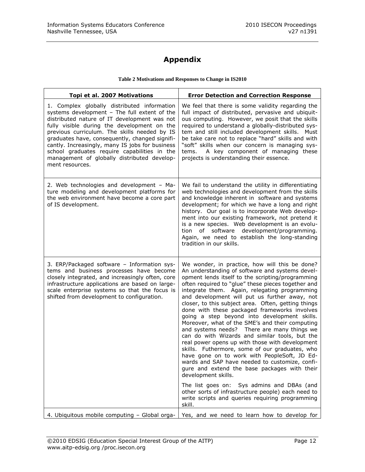# **Appendix**

### **Table 2 Motivations and Responses to Change in IS2010**

| Topi et al. 2007 Motivations                                                                                                                                                                                                                                                                                                                                                                                                                                      | <b>Error Detection and Correction Response</b>                                                                                                                                                                                                                                                                                                                                                                                                                                                                                                                                                                                                                                                                                                                                                                                                                                                                                                                                                                                                                          |
|-------------------------------------------------------------------------------------------------------------------------------------------------------------------------------------------------------------------------------------------------------------------------------------------------------------------------------------------------------------------------------------------------------------------------------------------------------------------|-------------------------------------------------------------------------------------------------------------------------------------------------------------------------------------------------------------------------------------------------------------------------------------------------------------------------------------------------------------------------------------------------------------------------------------------------------------------------------------------------------------------------------------------------------------------------------------------------------------------------------------------------------------------------------------------------------------------------------------------------------------------------------------------------------------------------------------------------------------------------------------------------------------------------------------------------------------------------------------------------------------------------------------------------------------------------|
| 1. Complex globally distributed information<br>systems development - The full extent of the<br>distributed nature of IT development was not<br>fully visible during the development on the<br>previous curriculum. The skills needed by IS<br>graduates have, consequently, changed signifi-<br>cantly. Increasingly, many IS jobs for business<br>school graduates require capabilities in the<br>management of globally distributed develop-<br>ment resources. | We feel that there is some validity regarding the<br>full impact of distributed, pervasive and ubiquit-<br>ous computing. However, we posit that the skills<br>required to understand a globally-distributed sys-<br>tem and still included development skills. Must<br>be take care not to replace "hard" skills and with<br>"soft" skills when our concern is managing sys-<br>A key component of managing these<br>tems.<br>projects is understanding their essence.                                                                                                                                                                                                                                                                                                                                                                                                                                                                                                                                                                                                 |
| 2. Web technologies and development - Ma-<br>ture modeling and development platforms for<br>the web environment have become a core part<br>of IS development.                                                                                                                                                                                                                                                                                                     | We fail to understand the utility in differentiating<br>web technologies and development from the skills<br>and knowledge inherent in software and systems<br>development; for which we have a long and right<br>history. Our goal is to incorporate Web develop-<br>ment into our existing framework, not pretend it<br>is a new species. Web development is an evolu-<br>tion of software development/programming.<br>Again, we need to establish the long-standing<br>tradition in our skills.                                                                                                                                                                                                                                                                                                                                                                                                                                                                                                                                                                       |
| 3. ERP/Packaged software - Information sys-<br>tems and business processes have become<br>closely integrated, and increasingly often, core<br>infrastructure applications are based on large-<br>scale enterprise systems so that the focus is<br>shifted from development to configuration.                                                                                                                                                                      | We wonder, in practice, how will this be done?<br>An understanding of software and systems devel-<br>opment lends itself to the scripting/programming<br>often required to "glue" these pieces together and<br>integrate them. Again, relegating programming<br>and development will put us further away, not<br>closer, to this subject area. Often, getting things<br>done with these packaged frameworks involves<br>going a step beyond into development skills.<br>Moreover, what of the SME's and their computing<br>and systems needs? There are many things we<br>can do with Wizards and similar tools, but the<br>real power opens up with those with development<br>skills. Futhermore, some of our graduates, who<br>have gone on to work with PeopleSoft, JD Ed-<br>wards and SAP have needed to customize, confi-<br>gure and extend the base packages with their<br>development skills.<br>The list goes on: Sys admins and DBAs (and<br>other sorts of infrastructure people) each need to<br>write scripts and queries requiring programming<br>skill. |
| 4. Ubiquitous mobile computing - Global orga-                                                                                                                                                                                                                                                                                                                                                                                                                     | Yes, and we need to learn how to develop for                                                                                                                                                                                                                                                                                                                                                                                                                                                                                                                                                                                                                                                                                                                                                                                                                                                                                                                                                                                                                            |